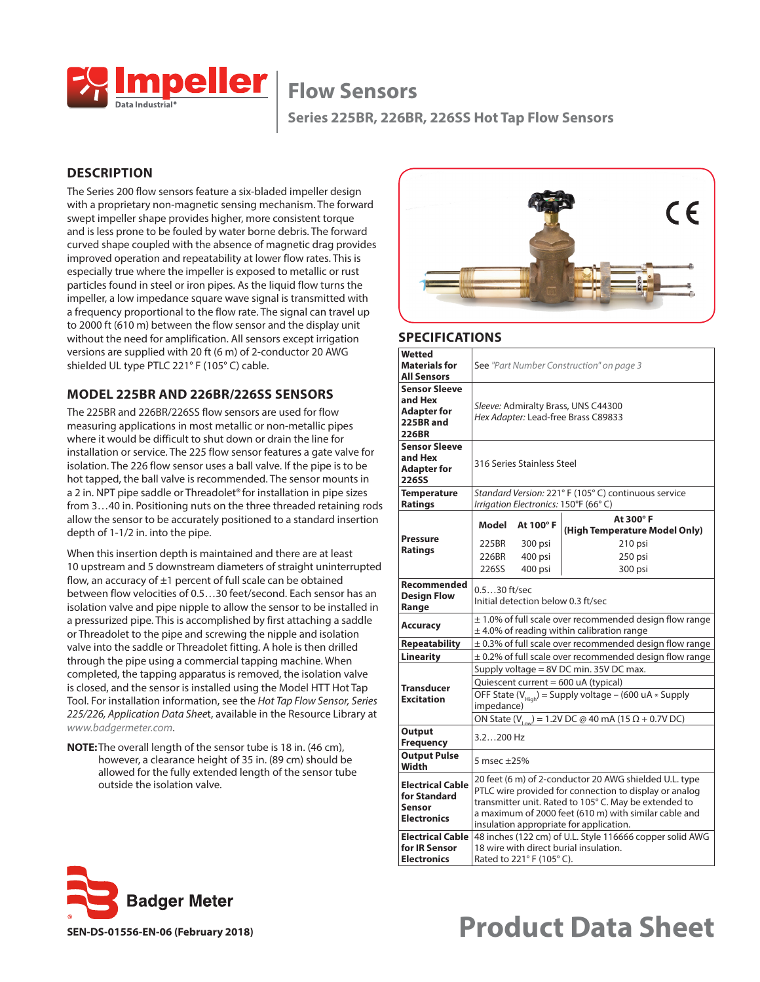

**Series 225BR, 226BR, 226SS Hot Tap Flow Sensors**

### **DESCRIPTION**

The Series 200 flow sensors feature a six-bladed impeller design with a proprietary non-magnetic sensing mechanism. The forward swept impeller shape provides higher, more consistent torque and is less prone to be fouled by water borne debris. The forward curved shape coupled with the absence of magnetic drag provides improved operation and repeatability at lower flow rates. This is especially true where the impeller is exposed to metallic or rust particles found in steel or iron pipes. As the liquid flow turns the impeller, a low impedance square wave signal is transmitted with a frequency proportional to the flow rate. The signal can travel up to 2000 ft (610 m) between the flow sensor and the display unit without the need for amplification. All sensors except irrigation versions are supplied with 20 ft (6 m) of 2-conductor 20 AWG shielded UL type PTLC 221° F (105° C) cable.

#### **MODEL 225BR AND 226BR/226SS SENSORS**

The 225BR and 226BR/226SS flow sensors are used for flow measuring applications in most metallic or non-metallic pipes where it would be difficult to shut down or drain the line for installation or service. The 225 flow sensor features a gate valve for isolation. The 226 flow sensor uses a ball valve. If the pipe is to be hot tapped, the ball valve is recommended. The sensor mounts in a 2 in. NPT pipe saddle or Threadolet® for installation in pipe sizes from 3…40 in. Positioning nuts on the three threaded retaining rods allow the sensor to be accurately positioned to a standard insertion depth of 1-1/2 in. into the pipe.

When this insertion depth is maintained and there are at least 10 upstream and 5 downstream diameters of straight uninterrupted flow, an accuracy of  $\pm 1$  percent of full scale can be obtained between flow velocities of 0.5…30 feet/second. Each sensor has an isolation valve and pipe nipple to allow the sensor to be installed in a pressurized pipe. This is accomplished by first attaching a saddle or Threadolet to the pipe and screwing the nipple and isolation valve into the saddle or Threadolet fitting. A hole is then drilled through the pipe using a commercial tapping machine. When completed, the tapping apparatus is removed, the isolation valve is closed, and the sensor is installed using the Model HTT Hot Tap Tool. For installation information, see the *Hot Tap Flow Sensor, Series 225/226, Application Data Shee*t, available in the Resource Library at *[www.badgermeter.com](http://www.badgermeter.com)*.

**NOTE:** The overall length of the sensor tube is 18 in. (46 cm), however, a clearance height of 35 in. (89 cm) should be allowed for the fully extended length of the sensor tube outside the isolation valve.



#### **SPECIFICATIONS**

| Wetted<br><b>Materials for</b><br><b>All Sensors</b>                        |             | See "Part Number Construction" on page 3                                                                                                                                   |                                                                                                                                                                                                                                    |  |  |  |  |  |  |  |  |
|-----------------------------------------------------------------------------|-------------|----------------------------------------------------------------------------------------------------------------------------------------------------------------------------|------------------------------------------------------------------------------------------------------------------------------------------------------------------------------------------------------------------------------------|--|--|--|--|--|--|--|--|
| <b>Sensor Sleeve</b><br>and Hex<br><b>Adapter for</b><br>225BR and<br>226BR |             | Sleeve: Admiralty Brass, UNS C44300<br>Hex Adapter: Lead-free Brass C89833                                                                                                 |                                                                                                                                                                                                                                    |  |  |  |  |  |  |  |  |
| <b>Sensor Sleeve</b><br>and Hex<br><b>Adapter for</b><br><b>226SS</b>       |             | 316 Series Stainless Steel                                                                                                                                                 |                                                                                                                                                                                                                                    |  |  |  |  |  |  |  |  |
| <b>Temperature</b><br><b>Ratings</b>                                        |             |                                                                                                                                                                            | Standard Version: 221° F (105° C) continuous service<br>Irrigation Electronics: 150°F (66°C)                                                                                                                                       |  |  |  |  |  |  |  |  |
|                                                                             | Model       | At 100°F                                                                                                                                                                   | At 300°F<br>(High Temperature Model Only)                                                                                                                                                                                          |  |  |  |  |  |  |  |  |
| <b>Pressure</b>                                                             | 225BR       | 300 psi                                                                                                                                                                    | 210 psi                                                                                                                                                                                                                            |  |  |  |  |  |  |  |  |
| <b>Ratings</b>                                                              | 226BR       | 400 psi                                                                                                                                                                    | 250 psi                                                                                                                                                                                                                            |  |  |  |  |  |  |  |  |
|                                                                             | 226SS       | 400 psi                                                                                                                                                                    | 300 psi                                                                                                                                                                                                                            |  |  |  |  |  |  |  |  |
| Recommended<br><b>Design Flow</b><br>Range                                  |             | $0.530$ ft/sec<br>Initial detection below 0.3 ft/sec                                                                                                                       |                                                                                                                                                                                                                                    |  |  |  |  |  |  |  |  |
| Accuracy                                                                    |             | ± 1.0% of full scale over recommended design flow range<br>$\pm$ 4.0% of reading within calibration range                                                                  |                                                                                                                                                                                                                                    |  |  |  |  |  |  |  |  |
| <b>Repeatability</b>                                                        |             |                                                                                                                                                                            | $\pm$ 0.3% of full scale over recommended design flow range                                                                                                                                                                        |  |  |  |  |  |  |  |  |
| <b>Linearity</b>                                                            |             |                                                                                                                                                                            | $\pm$ 0.2% of full scale over recommended design flow range                                                                                                                                                                        |  |  |  |  |  |  |  |  |
|                                                                             |             |                                                                                                                                                                            | Supply voltage = 8V DC min. 35V DC max.                                                                                                                                                                                            |  |  |  |  |  |  |  |  |
| <b>Transducer</b>                                                           |             |                                                                                                                                                                            | Quiescent current = 600 uA (typical)                                                                                                                                                                                               |  |  |  |  |  |  |  |  |
| <b>Excitation</b>                                                           | impedance)  |                                                                                                                                                                            | OFF State ( $V_{\text{Hich}}$ ) = Supply voltage – (600 uA $*$ Supply                                                                                                                                                              |  |  |  |  |  |  |  |  |
|                                                                             |             |                                                                                                                                                                            | ON State (V <sub>1, cn</sub> ) = 1.2V DC @ 40 mA (15 $\Omega$ + 0.7V DC)                                                                                                                                                           |  |  |  |  |  |  |  |  |
| Output<br><b>Frequency</b>                                                  | 3.2200 Hz   |                                                                                                                                                                            |                                                                                                                                                                                                                                    |  |  |  |  |  |  |  |  |
| <b>Output Pulse</b><br>Width                                                | 5 msec ±25% |                                                                                                                                                                            |                                                                                                                                                                                                                                    |  |  |  |  |  |  |  |  |
| Electrical Cable<br>for Standard<br><b>Sensor</b><br><b>Electronics</b>     |             |                                                                                                                                                                            | 20 feet (6 m) of 2-conductor 20 AWG shielded U.L. type<br>PTLC wire provided for connection to display or analog<br>transmitter unit. Rated to 105° C. May be extended to<br>a maximum of 2000 feet (610 m) with similar cable and |  |  |  |  |  |  |  |  |
| <b>Electrical Cable</b><br>for IR Sensor<br><b>Electronics</b>              |             | insulation appropriate for application.<br>48 inches (122 cm) of U.L. Style 116666 copper solid AWG<br>18 wire with direct burial insulation.<br>Rated to 221° F (105° C). |                                                                                                                                                                                                                                    |  |  |  |  |  |  |  |  |



# **SEN-DS-01556-EN-06 (February 2018) Product Data Sheet**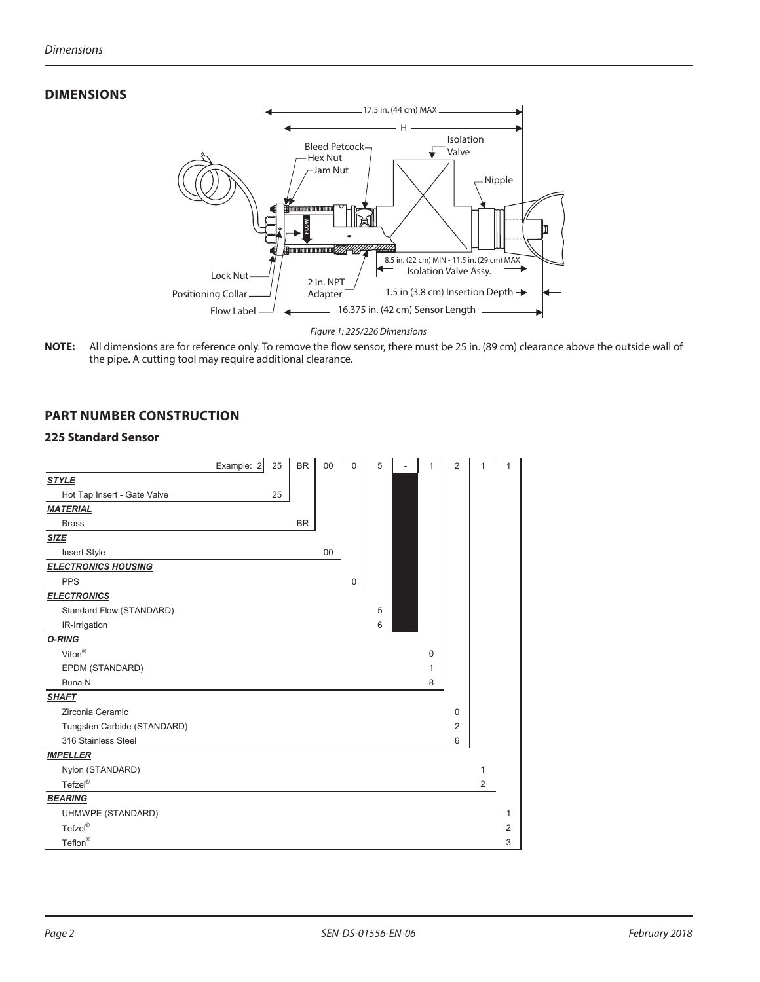# **DIMENSIONS**



*Figure 1: 225/226 Dimensions*

**NNOTE:** All dimensions are for reference only. To remove the flow sensor, there must be 25 in. (89 cm) clearance above the outside wall of the pipe. A cutting tool may require additional clearance.

## **PART NUMBER CONSTRUCTION**

#### **225 Standard Sensor**

|                             | Example: 2<br>25 | <b>BR</b> | 00 | $\mathbf 0$ | 5 | 1 | $\overline{2}$ | $\mathbf{1}$   | 1              |
|-----------------------------|------------------|-----------|----|-------------|---|---|----------------|----------------|----------------|
| <b>STYLE</b>                |                  |           |    |             |   |   |                |                |                |
| Hot Tap Insert - Gate Valve | 25               |           |    |             |   |   |                |                |                |
| <b>MATERIAL</b>             |                  |           |    |             |   |   |                |                |                |
| <b>Brass</b>                |                  | <b>BR</b> |    |             |   |   |                |                |                |
| <b>SIZE</b>                 |                  |           |    |             |   |   |                |                |                |
| Insert Style                |                  |           | 00 |             |   |   |                |                |                |
| <b>ELECTRONICS HOUSING</b>  |                  |           |    |             |   |   |                |                |                |
| <b>PPS</b>                  |                  |           |    | 0           |   |   |                |                |                |
| <b>ELECTRONICS</b>          |                  |           |    |             |   |   |                |                |                |
| Standard Flow (STANDARD)    |                  |           |    |             | 5 |   |                |                |                |
| IR-Irrigation               |                  |           |    |             | 6 |   |                |                |                |
| O-RING                      |                  |           |    |             |   |   |                |                |                |
| Viton <sup>®</sup>          |                  |           |    |             |   | 0 |                |                |                |
| EPDM (STANDARD)             |                  |           |    |             |   | 1 |                |                |                |
| Buna N                      |                  |           |    |             |   | 8 |                |                |                |
| <b>SHAFT</b>                |                  |           |    |             |   |   |                |                |                |
| Zirconia Ceramic            |                  |           |    |             |   |   | $\mathbf 0$    |                |                |
| Tungsten Carbide (STANDARD) |                  |           |    |             |   |   | $\overline{2}$ |                |                |
| 316 Stainless Steel         |                  |           |    |             |   |   | $6\,$          |                |                |
| <b>IMPELLER</b>             |                  |           |    |             |   |   |                |                |                |
| Nylon (STANDARD)            |                  |           |    |             |   |   |                | 1              |                |
| Tefzel®                     |                  |           |    |             |   |   |                | $\overline{2}$ |                |
| <b>BEARING</b>              |                  |           |    |             |   |   |                |                |                |
| UHMWPE (STANDARD)           |                  |           |    |             |   |   |                |                | 1              |
| Tefzel®                     |                  |           |    |             |   |   |                |                | $\overline{2}$ |
| $\mathsf{Teflon}^\circledR$ |                  |           |    |             |   |   |                |                | 3              |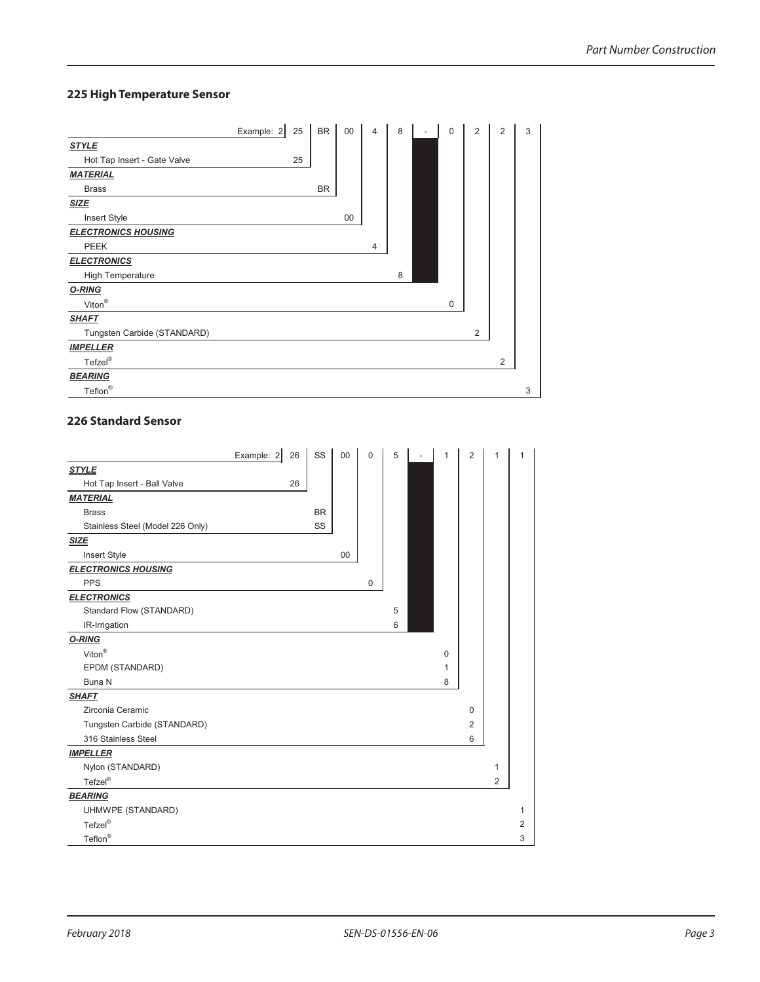# **225 High Temperature Sensor**

|                             | Example: 2 | 25 | <b>BR</b> | 00 | 4 | 8 | $\overline{\phantom{a}}$ | $\mathbf 0$ | 2 | 2 | 3 |
|-----------------------------|------------|----|-----------|----|---|---|--------------------------|-------------|---|---|---|
| <b>STYLE</b>                |            |    |           |    |   |   |                          |             |   |   |   |
| Hot Tap Insert - Gate Valve |            | 25 |           |    |   |   |                          |             |   |   |   |
| <b>MATERIAL</b>             |            |    |           |    |   |   |                          |             |   |   |   |
| <b>Brass</b>                |            |    | <b>BR</b> |    |   |   |                          |             |   |   |   |
| <b>SIZE</b>                 |            |    |           |    |   |   |                          |             |   |   |   |
| Insert Style                |            |    |           | 00 |   |   |                          |             |   |   |   |
| <b>ELECTRONICS HOUSING</b>  |            |    |           |    |   |   |                          |             |   |   |   |
| <b>PEEK</b>                 |            |    |           |    | 4 |   |                          |             |   |   |   |
| <b>ELECTRONICS</b>          |            |    |           |    |   |   |                          |             |   |   |   |
| <b>High Temperature</b>     |            |    |           |    |   | 8 |                          |             |   |   |   |
| O-RING                      |            |    |           |    |   |   |                          |             |   |   |   |
| Viton $^{\circledR}$        |            |    |           |    |   |   |                          | $\mathbf 0$ |   |   |   |
| <b>SHAFT</b>                |            |    |           |    |   |   |                          |             |   |   |   |
| Tungsten Carbide (STANDARD) |            |    |           |    |   |   |                          |             | 2 |   |   |
| <b>IMPELLER</b>             |            |    |           |    |   |   |                          |             |   |   |   |
| Tefzel®                     |            |    |           |    |   |   |                          |             |   | 2 |   |
| <b>BEARING</b>              |            |    |           |    |   |   |                          |             |   |   |   |
| Teflon <sup>®</sup>         |            |    |           |    |   |   |                          |             |   |   | 3 |

#### **226 Standard Sensor**

|                                  | Example: 2 | 26 | SS        | 00 | $\mathbf 0$ | 5 | 1 | $\overline{2}$ | 1 | 1              |
|----------------------------------|------------|----|-----------|----|-------------|---|---|----------------|---|----------------|
| <b>STYLE</b>                     |            |    |           |    |             |   |   |                |   |                |
| Hot Tap Insert - Ball Valve      |            | 26 |           |    |             |   |   |                |   |                |
| <b>MATERIAL</b>                  |            |    |           |    |             |   |   |                |   |                |
| <b>Brass</b>                     |            |    | <b>BR</b> |    |             |   |   |                |   |                |
| Stainless Steel (Model 226 Only) |            |    | SS        |    |             |   |   |                |   |                |
| <b>SIZE</b>                      |            |    |           |    |             |   |   |                |   |                |
| Insert Style                     |            |    |           | 00 |             |   |   |                |   |                |
| <b>ELECTRONICS HOUSING</b>       |            |    |           |    |             |   |   |                |   |                |
| <b>PPS</b>                       |            |    |           |    | 0           |   |   |                |   |                |
| <b>ELECTRONICS</b>               |            |    |           |    |             |   |   |                |   |                |
| Standard Flow (STANDARD)         |            |    |           |    |             | 5 |   |                |   |                |
| IR-Irrigation                    |            |    |           |    |             | 6 |   |                |   |                |
| O-RING                           |            |    |           |    |             |   |   |                |   |                |
| $\mathsf{Viton}^\circledR$       |            |    |           |    |             |   | 0 |                |   |                |
| EPDM (STANDARD)                  |            |    |           |    |             |   | 1 |                |   |                |
| Buna N                           |            |    |           |    |             |   | 8 |                |   |                |
| <b>SHAFT</b>                     |            |    |           |    |             |   |   |                |   |                |
| Zirconia Ceramic                 |            |    |           |    |             |   |   | 0              |   |                |
| Tungsten Carbide (STANDARD)      |            |    |           |    |             |   |   | 2              |   |                |
| 316 Stainless Steel              |            |    |           |    |             |   |   | 6              |   |                |
| <b>IMPELLER</b>                  |            |    |           |    |             |   |   |                |   |                |
| Nylon (STANDARD)                 |            |    |           |    |             |   |   |                | 1 |                |
| Tefzel®                          |            |    |           |    |             |   |   |                | 2 |                |
| <b>BEARING</b>                   |            |    |           |    |             |   |   |                |   |                |
| UHMWPE (STANDARD)                |            |    |           |    |             |   |   |                |   | 1              |
| Tefzel®                          |            |    |           |    |             |   |   |                |   | $\overline{2}$ |
| $\mathsf{Teflon}^\circledR$      |            |    |           |    |             |   |   |                |   | 3              |